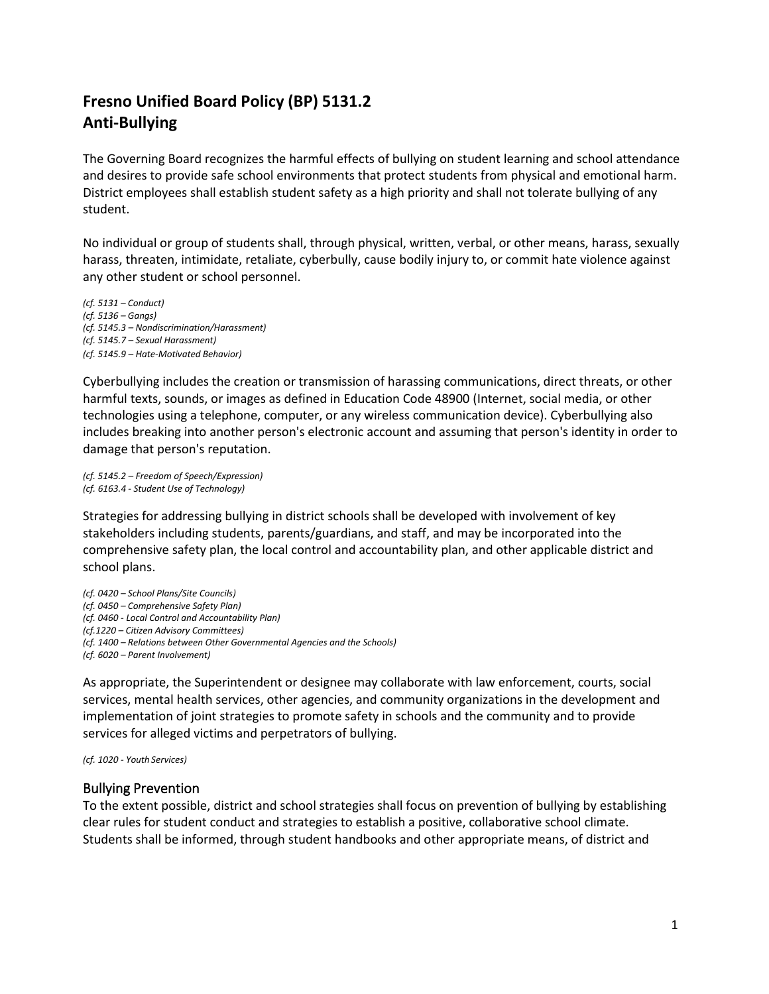# **Fresno Unified Board Policy (BP) 5131.2 Anti-Bullying**

The Governing Board recognizes the harmful effects of bullying on student learning and school attendance and desires to provide safe school environments that protect students from physical and emotional harm. District employees shall establish student safety as a high priority and shall not tolerate bullying of any student.

No individual or group of students shall, through physical, written, verbal, or other means, harass, sexually harass, threaten, intimidate, retaliate, cyberbully, cause bodily injury to, or commit hate violence against any other student or school personnel.

*(cf. 5131 – Conduct) (cf. 5136 – Gangs) (cf. 5145.3 – Nondiscrimination/Harassment) (cf. 5145.7 – Sexual Harassment) (cf. 5145.9 – Hate-Motivated Behavior)*

Cyberbullying includes the creation or transmission of harassing communications, direct threats, or other harmful texts, sounds, or images as defined in Education Code 48900 (Internet, social media, or other technologies using a telephone, computer, or any wireless communication device). Cyberbullying also includes breaking into another person's electronic account and assuming that person's identity in order to damage that person's reputation.

*(cf. 5145.2 – Freedom of Speech/Expression) (cf. 6163.4 - Student Use of Technology)*

Strategies for addressing bullying in district schools shall be developed with involvement of key stakeholders including students, parents/guardians, and staff, and may be incorporated into the comprehensive safety plan, the local control and accountability plan, and other applicable district and school plans.

*(cf. 0420 – School Plans/Site Councils) (cf. 0450 – Comprehensive Safety Plan) (cf. 0460 - Local Control and Accountability Plan) (cf.1220 – Citizen Advisory Committees) (cf. 1400 – Relations between Other Governmental Agencies and the Schools) (cf. 6020 – Parent Involvement)*

As appropriate, the Superintendent or designee may collaborate with law enforcement, courts, social services, mental health services, other agencies, and community organizations in the development and implementation of joint strategies to promote safety in schools and the community and to provide services for alleged victims and perpetrators of bullying.

*(cf. 1020 - Youth Services)*

#### Bullying Prevention

To the extent possible, district and school strategies shall focus on prevention of bullying by establishing clear rules for student conduct and strategies to establish a positive, collaborative school climate. Students shall be informed, through student handbooks and other appropriate means, of district and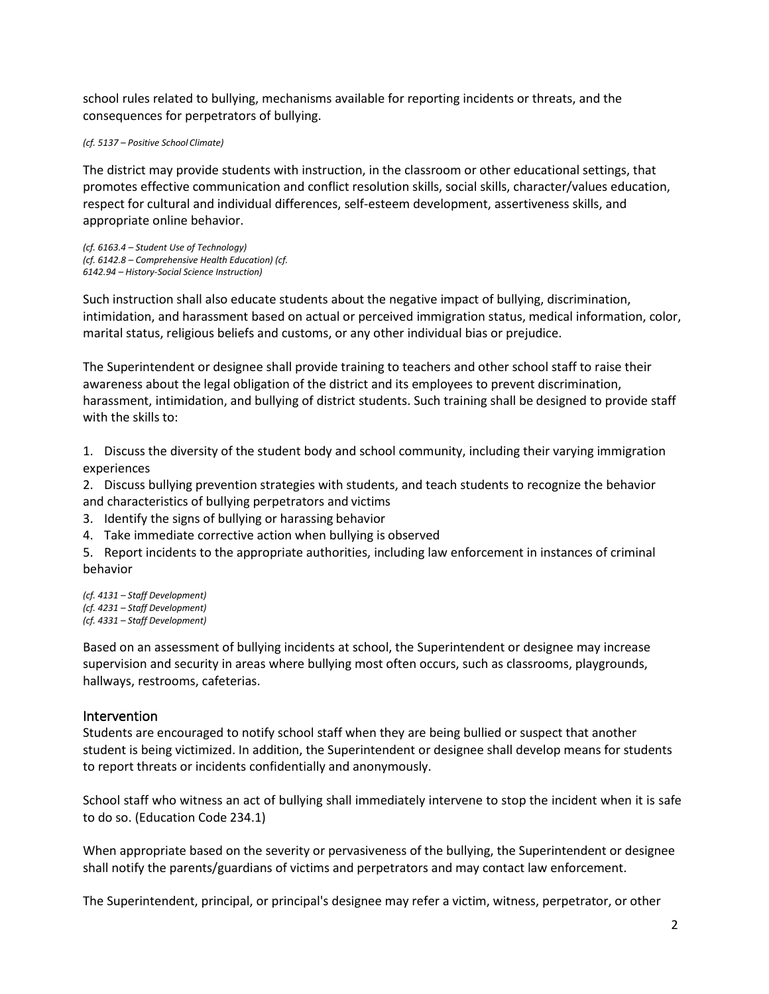school rules related to bullying, mechanisms available for reporting incidents or threats, and the consequences for perpetrators of bullying.

*(cf. 5137 – Positive School Climate)*

The district may provide students with instruction, in the classroom or other educational settings, that promotes effective communication and conflict resolution skills, social skills, character/values education, respect for cultural and individual differences, self-esteem development, assertiveness skills, and appropriate online behavior.

*(cf. 6163.4 – Student Use of Technology) (cf. 6142.8 – Comprehensive Health Education) (cf. 6142.94 – History-Social Science Instruction)*

Such instruction shall also educate students about the negative impact of bullying, discrimination, intimidation, and harassment based on actual or perceived immigration status, medical information, color, marital status, religious beliefs and customs, or any other individual bias or prejudice.

The Superintendent or designee shall provide training to teachers and other school staff to raise their awareness about the legal obligation of the district and its employees to prevent discrimination, harassment, intimidation, and bullying of district students. Such training shall be designed to provide staff with the skills to:

1. Discuss the diversity of the student body and school community, including their varying immigration experiences

2. Discuss bullying prevention strategies with students, and teach students to recognize the behavior and characteristics of bullying perpetrators and victims

- 3. Identify the signs of bullying or harassing behavior
- 4. Take immediate corrective action when bullying is observed

5. Report incidents to the appropriate authorities, including law enforcement in instances of criminal behavior

*(cf. 4131 – Staff Development) (cf. 4231 – Staff Development) (cf. 4331 – Staff Development)*

Based on an assessment of bullying incidents at school, the Superintendent or designee may increase supervision and security in areas where bullying most often occurs, such as classrooms, playgrounds, hallways, restrooms, cafeterias.

## Intervention

Students are encouraged to notify school staff when they are being bullied or suspect that another student is being victimized. In addition, the Superintendent or designee shall develop means for students to report threats or incidents confidentially and anonymously.

School staff who witness an act of bullying shall immediately intervene to stop the incident when it is safe to do so. (Education Code 234.1)

When appropriate based on the severity or pervasiveness of the bullying, the Superintendent or designee shall notify the parents/guardians of victims and perpetrators and may contact law enforcement.

The Superintendent, principal, or principal's designee may refer a victim, witness, perpetrator, or other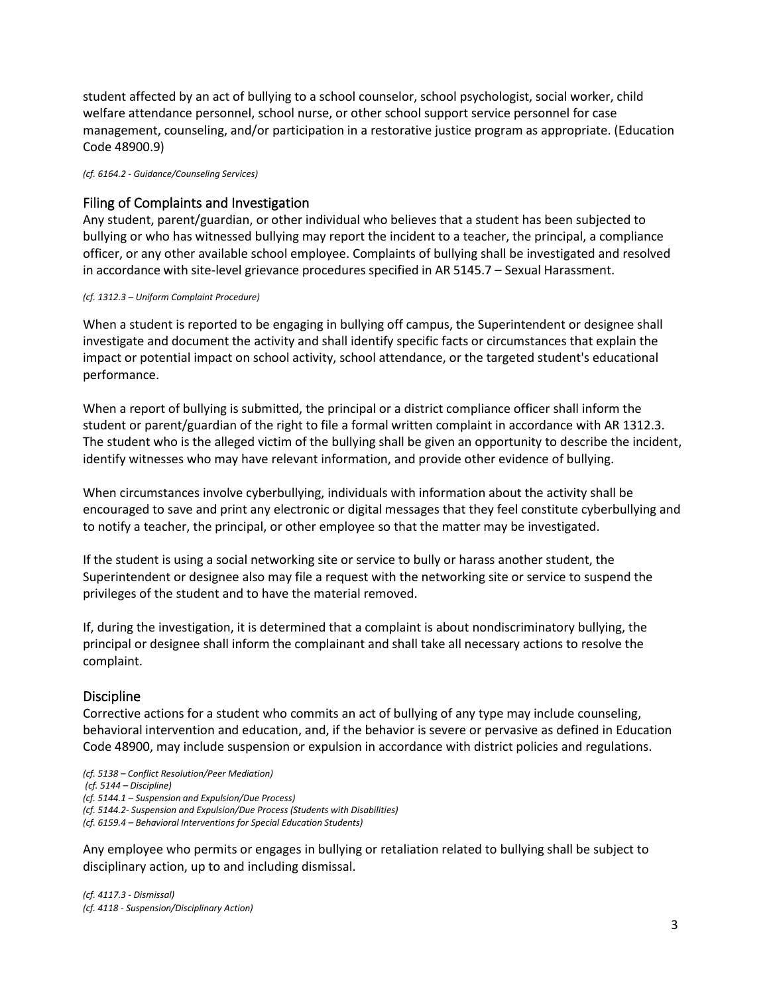student affected by an act of bullying to a school counselor, school psychologist, social worker, child welfare attendance personnel, school nurse, or other school support service personnel for case management, counseling, and/or participation in a restorative justice program as appropriate. (Education Code 48900.9)

*(cf. 6164.2 - Guidance/Counseling Services)*

#### Filing of Complaints and Investigation

Any student, parent/guardian, or other individual who believes that a student has been subjected to bullying or who has witnessed bullying may report the incident to a teacher, the principal, a compliance officer, or any other available school employee. Complaints of bullying shall be investigated and resolved in accordance with site-level grievance procedures specified in AR 5145.7 – Sexual Harassment.

#### *(cf. 1312.3 – Uniform Complaint Procedure)*

When a student is reported to be engaging in bullying off campus, the Superintendent or designee shall investigate and document the activity and shall identify specific facts or circumstances that explain the impact or potential impact on school activity, school attendance, or the targeted student's educational performance.

When a report of bullying is submitted, the principal or a district compliance officer shall inform the student or parent/guardian of the right to file a formal written complaint in accordance with AR 1312.3. The student who is the alleged victim of the bullying shall be given an opportunity to describe the incident, identify witnesses who may have relevant information, and provide other evidence of bullying.

When circumstances involve cyberbullying, individuals with information about the activity shall be encouraged to save and print any electronic or digital messages that they feel constitute cyberbullying and to notify a teacher, the principal, or other employee so that the matter may be investigated.

If the student is using a social networking site or service to bully or harass another student, the Superintendent or designee also may file a request with the networking site or service to suspend the privileges of the student and to have the material removed.

If, during the investigation, it is determined that a complaint is about nondiscriminatory bullying, the principal or designee shall inform the complainant and shall take all necessary actions to resolve the complaint.

## Discipline

Corrective actions for a student who commits an act of bullying of any type may include counseling, behavioral intervention and education, and, if the behavior is severe or pervasive as defined in Education Code 48900, may include suspension or expulsion in accordance with district policies and regulations.

*(cf. 5138 – Conflict Resolution/Peer Mediation)*

*(cf. 5144 – Discipline)*

*(cf. 5144.1 – Suspension and Expulsion/Due Process)*

*(cf. 5144.2- Suspension and Expulsion/Due Process (Students with Disabilities)* 

*(cf. 6159.4 – Behavioral Interventions for Special Education Students)*

Any employee who permits or engages in bullying or retaliation related to bullying shall be subject to disciplinary action, up to and including dismissal.